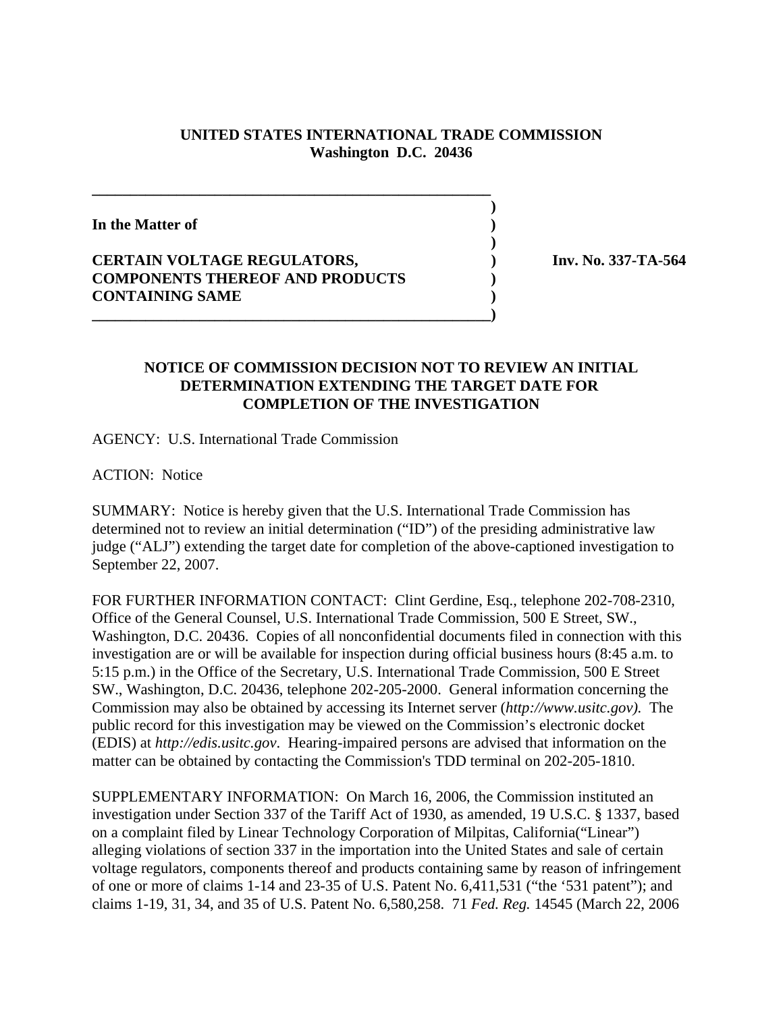## **UNITED STATES INTERNATIONAL TRADE COMMISSION Washington D.C. 20436**

 **)**

 **)**

**In the Matter of )**

## **CERTAIN VOLTAGE REGULATORS, ) Inv. No. 337-TA-564 COMPONENTS THEREOF AND PRODUCTS ) CONTAINING SAME )**

**\_\_\_\_\_\_\_\_\_\_\_\_\_\_\_\_\_\_\_\_\_\_\_\_\_\_\_\_\_\_\_\_\_\_\_\_\_\_\_\_\_\_\_\_\_\_\_\_\_\_\_\_**

**\_\_\_\_\_\_\_\_\_\_\_\_\_\_\_\_\_\_\_\_\_\_\_\_\_\_\_\_\_\_\_\_\_\_\_\_\_\_\_\_\_\_\_\_\_\_\_\_\_\_\_\_)**

## **NOTICE OF COMMISSION DECISION NOT TO REVIEW AN INITIAL DETERMINATION EXTENDING THE TARGET DATE FOR COMPLETION OF THE INVESTIGATION**

AGENCY: U.S. International Trade Commission

ACTION: Notice

SUMMARY: Notice is hereby given that the U.S. International Trade Commission has determined not to review an initial determination ("ID") of the presiding administrative law judge ("ALJ") extending the target date for completion of the above-captioned investigation to September 22, 2007.

FOR FURTHER INFORMATION CONTACT: Clint Gerdine, Esq., telephone 202-708-2310, Office of the General Counsel, U.S. International Trade Commission, 500 E Street, SW., Washington, D.C. 20436. Copies of all nonconfidential documents filed in connection with this investigation are or will be available for inspection during official business hours (8:45 a.m. to 5:15 p.m.) in the Office of the Secretary, U.S. International Trade Commission, 500 E Street SW., Washington, D.C. 20436, telephone 202-205-2000. General information concerning the Commission may also be obtained by accessing its Internet server (*http://www.usitc.gov).* The public record for this investigation may be viewed on the Commission's electronic docket (EDIS) at *http://edis.usitc.gov*. Hearing-impaired persons are advised that information on the matter can be obtained by contacting the Commission's TDD terminal on 202-205-1810.

SUPPLEMENTARY INFORMATION: On March 16, 2006, the Commission instituted an investigation under Section 337 of the Tariff Act of 1930, as amended, 19 U.S.C. § 1337, based on a complaint filed by Linear Technology Corporation of Milpitas, California("Linear") alleging violations of section 337 in the importation into the United States and sale of certain voltage regulators, components thereof and products containing same by reason of infringement of one or more of claims 1-14 and 23-35 of U.S. Patent No. 6,411,531 ("the '531 patent"); and claims 1-19, 31, 34, and 35 of U.S. Patent No. 6,580,258. 71 *Fed. Reg.* 14545 (March 22, 2006